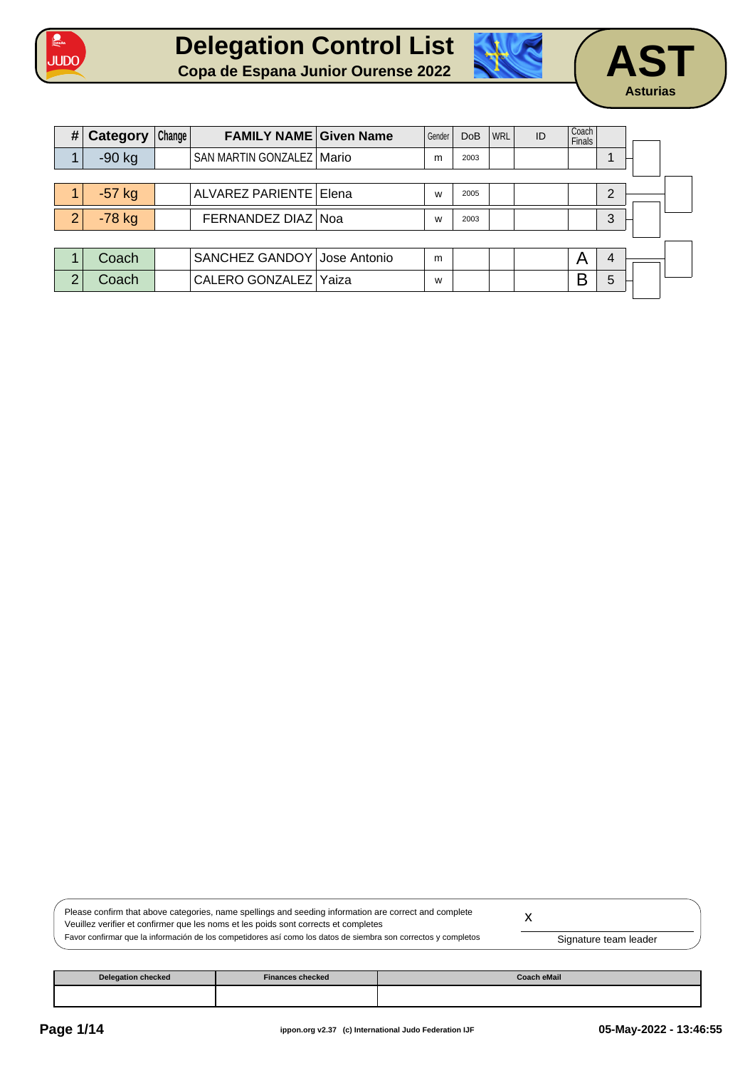







| # | Category | Change | <b>FAMILY NAME Given Name</b> | Gender | <b>DoB</b> | <b>WRL</b> | ID | Coach<br><b>Finals</b> |   |  |
|---|----------|--------|-------------------------------|--------|------------|------------|----|------------------------|---|--|
|   | $-90$ kg |        | SAN MARTIN GONZALEZ   Mario   | m      | 2003       |            |    |                        |   |  |
|   |          |        |                               |        |            |            |    |                        |   |  |
|   | $-57$ kg |        | ALVAREZ PARIENTE   Elena      | W      | 2005       |            |    |                        | 2 |  |
| 2 | $-78$ kg |        | FERNANDEZ DIAZ Noa            | W      | 2003       |            |    |                        | 3 |  |
|   |          |        |                               |        |            |            |    |                        |   |  |
|   | Coach    |        | SANCHEZ GANDOY Jose Antonio   | m      |            |            |    | A                      | 4 |  |
| 2 | Coach    |        | CALERO GONZALEZ Yaiza         | W      |            |            |    | B                      | 5 |  |
|   |          |        |                               |        |            |            |    |                        |   |  |

| Please confirm that above categories, name spellings and seeding information are correct and complete          |                       |  |
|----------------------------------------------------------------------------------------------------------------|-----------------------|--|
| Veuillez verifier et confirmer que les noms et les poids sont corrects et completes                            |                       |  |
| Favor confirmar que la información de los competidores así como los datos de siembra son correctos y completos | Signature team leader |  |

| <b>Delegation checked</b> | <b>Finances checked</b> | Coach eMail |
|---------------------------|-------------------------|-------------|
|                           |                         |             |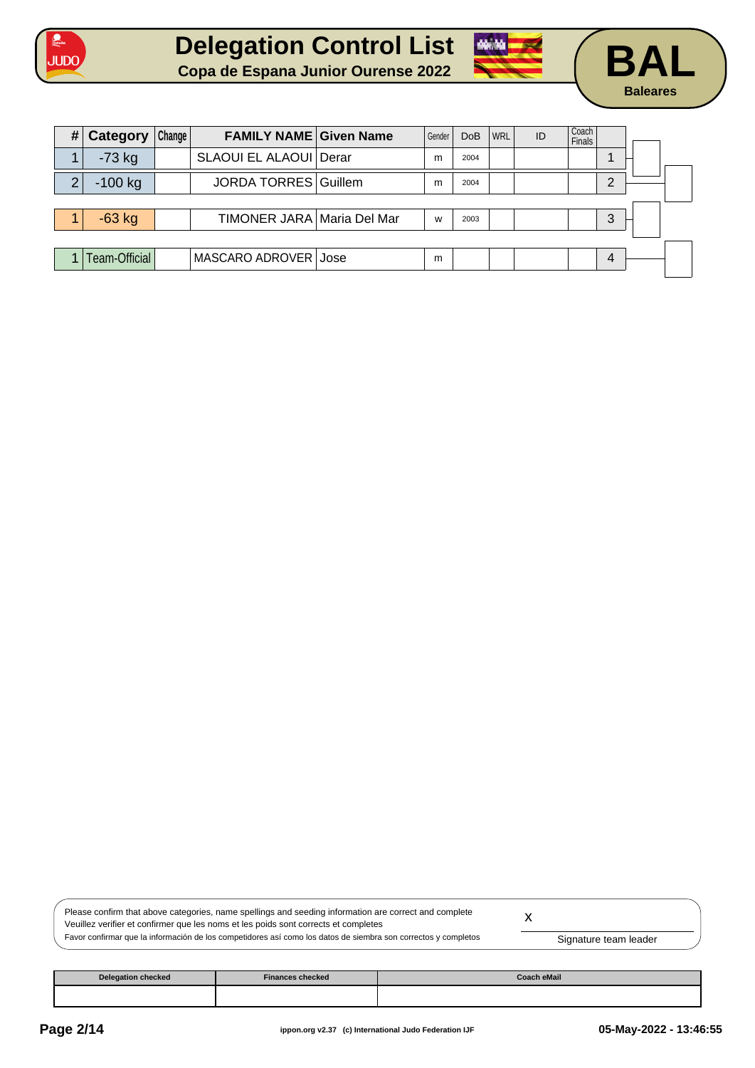





| # | Category      | Change | <b>FAMILY NAME Given Name</b> | Gender | <b>DoB</b> | <b>WRL</b> | ID | Coach<br><b>Finals</b> |   |  |
|---|---------------|--------|-------------------------------|--------|------------|------------|----|------------------------|---|--|
|   | $-73$ kg      |        | SLAOUI EL ALAOUI   Derar      | m      | 2004       |            |    |                        |   |  |
| っ | $-100$ kg     |        | <b>JORDA TORRES Guillem</b>   | m      | 2004       |            |    |                        | ⌒ |  |
|   |               |        |                               |        |            |            |    |                        |   |  |
|   | $-63$ kg      |        | TIMONER JARA   Maria Del Mar  | W      | 2003       |            |    |                        | 3 |  |
|   |               |        |                               |        |            |            |    |                        |   |  |
|   | Team-Official |        | MASCARO ADROVER Jose          | m      |            |            |    |                        | 4 |  |

| Please confirm that above categories, name spellings and seeding information are correct and complete          |                       |
|----------------------------------------------------------------------------------------------------------------|-----------------------|
| Veuillez verifier et confirmer que les noms et les poids sont corrects et completes                            |                       |
| Favor confirmar que la información de los competidores así como los datos de siembra son correctos y completos | Signature team leader |

| <b>Delegation checked</b> | <b>Finances checked</b> | Coach eMail |
|---------------------------|-------------------------|-------------|
|                           |                         |             |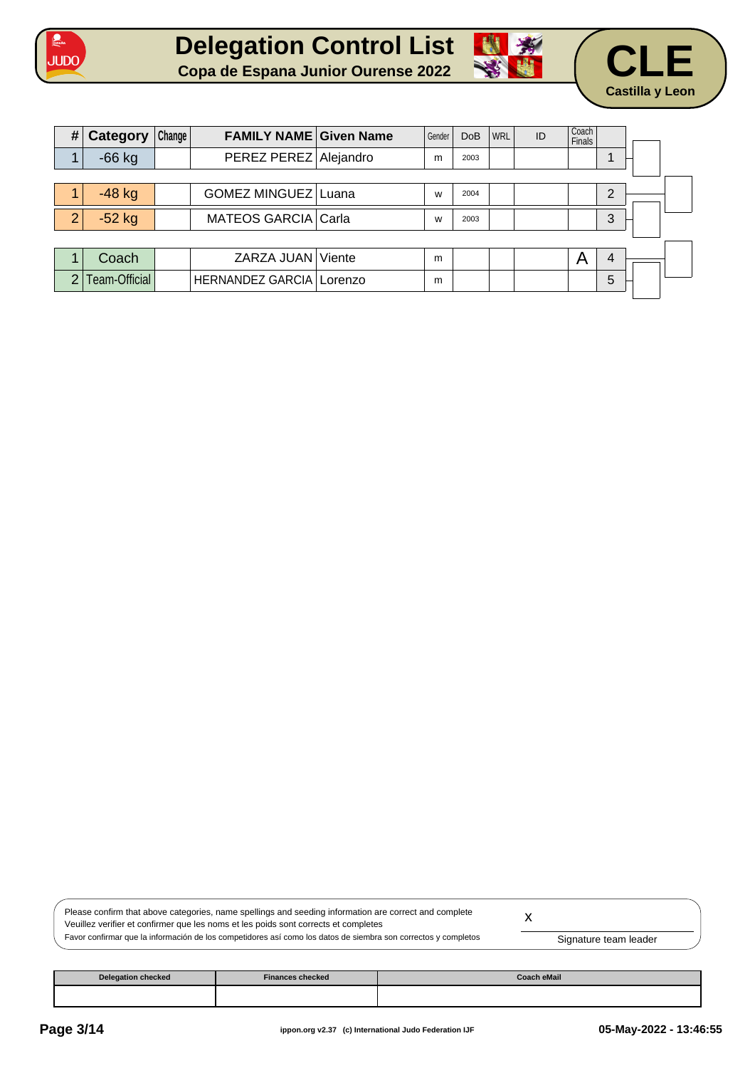







| # | <b>Category</b> | Change | <b>FAMILY NAME Given Name</b>     | Gender | <b>DoB</b> | <b>WRL</b> | ID | Coach<br><b>Finals</b> |   |  |
|---|-----------------|--------|-----------------------------------|--------|------------|------------|----|------------------------|---|--|
|   | $-66$ kg        |        | PEREZ PEREZ Alejandro             | m      | 2003       |            |    |                        |   |  |
|   |                 |        |                                   |        |            |            |    |                        |   |  |
|   | $-48$ kg        |        | GOMEZ MINGUEZ Luana               | W      | 2004       |            |    |                        | C |  |
| 2 | $-52$ kg        |        | MATEOS GARCIA Carla               | W      | 2003       |            |    |                        | 3 |  |
|   |                 |        |                                   |        |            |            |    |                        |   |  |
|   | Coach           |        | ZARZA JUAN   Viente               | m      |            |            |    | Α                      | 4 |  |
| ∩ | Team-Official   |        | <b>HERNANDEZ GARCIA   Lorenzo</b> | m      |            |            |    |                        | 5 |  |

| Please confirm that above categories, name spellings and seeding information are correct and complete          |                       |  |
|----------------------------------------------------------------------------------------------------------------|-----------------------|--|
| Veuillez verifier et confirmer que les noms et les poids sont corrects et completes                            |                       |  |
| Favor confirmar que la información de los competidores así como los datos de siembra son correctos y completos | Signature team leader |  |

| <b>Delegation checked</b> | <b>Finances checked</b> | Coach eMail |
|---------------------------|-------------------------|-------------|
|                           |                         |             |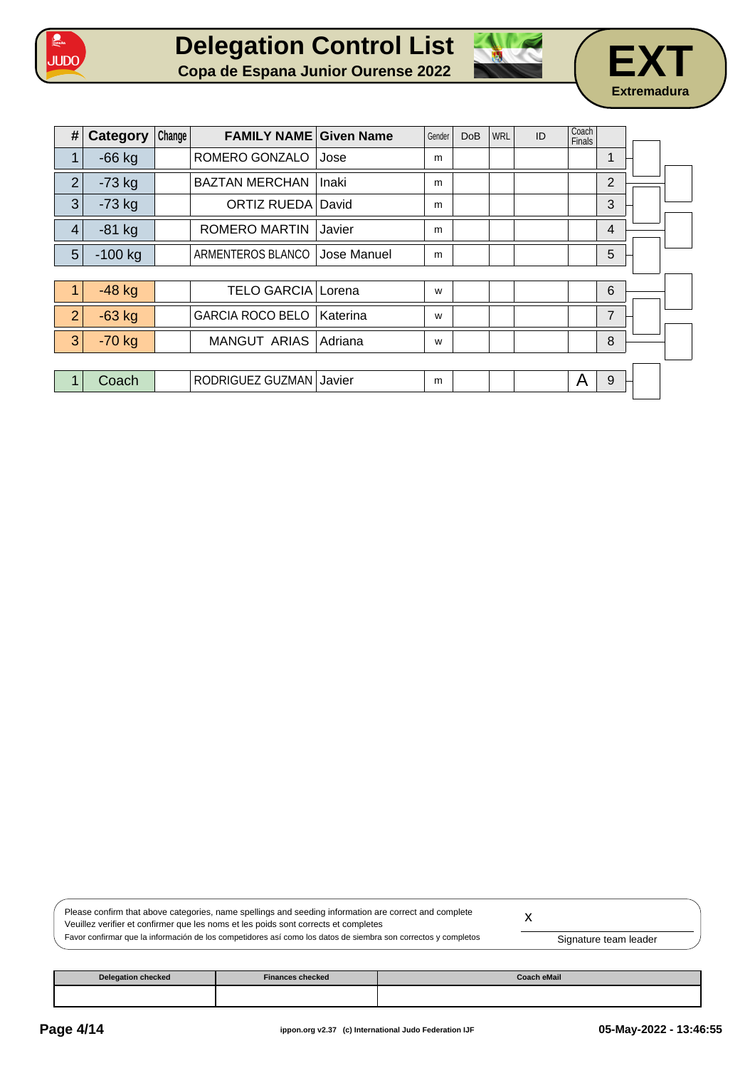







| #              | Category  | Change | <b>FAMILY NAME Given Name</b> |             | Gender | <b>DoB</b> | <b>WRL</b> | ID | Coach<br><b>Finals</b> |                |  |
|----------------|-----------|--------|-------------------------------|-------------|--------|------------|------------|----|------------------------|----------------|--|
| 1              | $-66$ kg  |        | ROMERO GONZALO                | Jose        | m      |            |            |    |                        | $\mathbf 1$    |  |
| $\overline{2}$ | $-73$ kg  |        | <b>BAZTAN MERCHAN</b>         | Inaki       | m      |            |            |    |                        | $\overline{2}$ |  |
| 3              | $-73$ kg  |        | ORTIZ RUEDA David             |             | m      |            |            |    |                        | 3              |  |
| 4              | $-81$ kg  |        | <b>ROMERO MARTIN</b>          | Javier      | m      |            |            |    |                        | $\overline{4}$ |  |
| 5              | $-100$ kg |        | ARMENTEROS BLANCO             | Jose Manuel | m      |            |            |    |                        | 5              |  |
|                |           |        |                               |             |        |            |            |    |                        |                |  |
| 1              | $-48$ kg  |        | <b>TELO GARCIA Lorena</b>     |             | W      |            |            |    |                        | 6              |  |
| $\overline{2}$ | $-63$ kg  |        | <b>GARCIA ROCO BELO</b>       | Katerina    | W      |            |            |    |                        | $\overline{7}$ |  |
| 3              | $-70$ kg  |        | <b>MANGUT ARIAS</b>           | Adriana     | W      |            |            |    |                        | 8              |  |
|                |           |        |                               |             |        |            |            |    |                        |                |  |
| 1              | Coach     |        | RODRIGUEZ GUZMAN Javier       |             | m      |            |            |    | A                      | 9              |  |

| Please confirm that above categories, name spellings and seeding information are correct and complete          |                       |  |
|----------------------------------------------------------------------------------------------------------------|-----------------------|--|
| Veuillez verifier et confirmer que les noms et les poids sont corrects et completes                            |                       |  |
| Favor confirmar que la información de los competidores así como los datos de siembra son correctos y completos | Signature team leader |  |

| Delegation checked | <b>Finances checked</b> | Coach eMail |
|--------------------|-------------------------|-------------|
|                    |                         |             |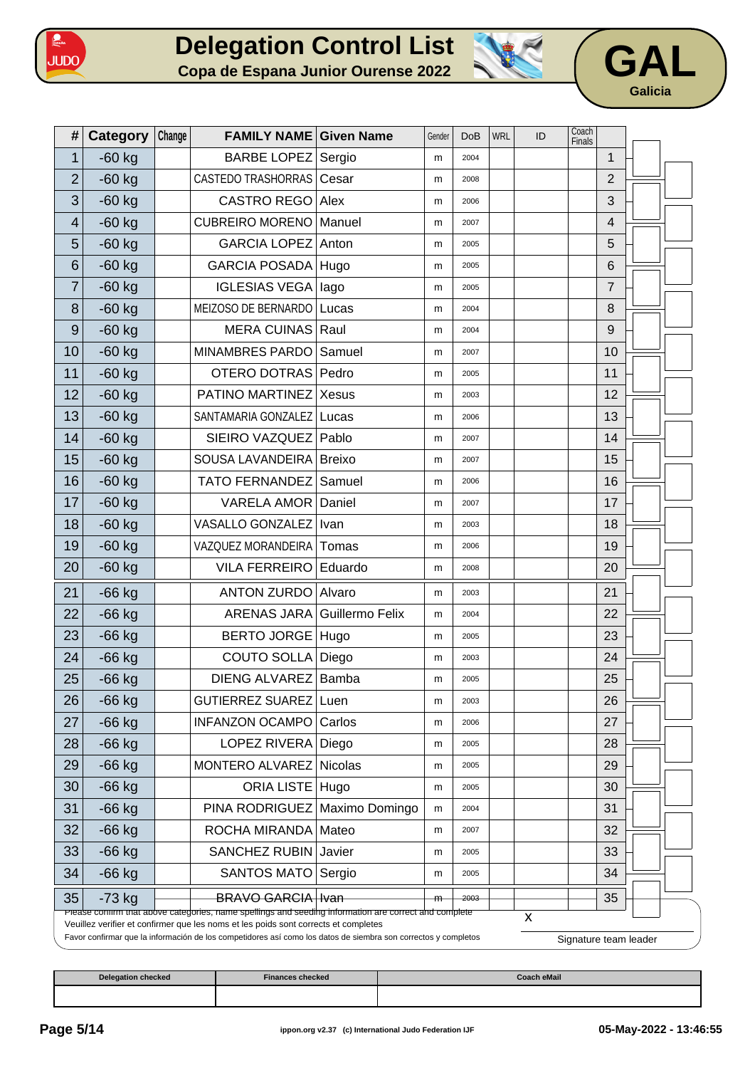





| #                        | <b>Category</b> | Change | <b>FAMILY NAME Given Name</b>                                                                                                                                                                |                | Gender | <b>DoB</b> | <b>WRL</b> | ID | Coach<br><b>Finals</b> |                |                       |  |
|--------------------------|-----------------|--------|----------------------------------------------------------------------------------------------------------------------------------------------------------------------------------------------|----------------|--------|------------|------------|----|------------------------|----------------|-----------------------|--|
| 1                        | $-60$ kg        |        | <b>BARBE LOPEZ</b>                                                                                                                                                                           | Sergio         | m      | 2004       |            |    |                        | 1              |                       |  |
| $\overline{2}$           | $-60$ kg        |        | CASTEDO TRASHORRAS   Cesar                                                                                                                                                                   |                | m      | 2008       |            |    |                        | $\overline{2}$ |                       |  |
| 3                        | $-60$ kg        |        | <b>CASTRO REGO</b>                                                                                                                                                                           | Alex           | m      | 2006       |            |    |                        | 3              |                       |  |
| $\overline{\mathcal{A}}$ | $-60$ kg        |        | <b>CUBREIRO MORENO</b>                                                                                                                                                                       | Manuel         | m      | 2007       |            |    |                        | 4              |                       |  |
| 5                        | $-60$ kg        |        | <b>GARCIA LOPEZ</b>                                                                                                                                                                          | Anton          | m      | 2005       |            |    |                        | 5              |                       |  |
| 6                        | $-60$ kg        |        | <b>GARCIA POSADA</b>                                                                                                                                                                         | Hugo           | m      | 2005       |            |    |                        | $6\phantom{1}$ |                       |  |
| 7                        | $-60$ kg        |        | <b>IGLESIAS VEGA</b>                                                                                                                                                                         | lago           | m      | 2005       |            |    |                        | 7              |                       |  |
| 8                        | $-60$ kg        |        | MEIZOSO DE BERNARDO                                                                                                                                                                          | Lucas          | m      | 2004       |            |    |                        | 8              |                       |  |
| $\boldsymbol{9}$         | $-60$ kg        |        | MERA CUINAS Raul                                                                                                                                                                             |                | m      | 2004       |            |    |                        | $9$            |                       |  |
| 10                       | $-60$ kg        |        | MINAMBRES PARDO                                                                                                                                                                              | Samuel         | m      | 2007       |            |    |                        | 10             |                       |  |
| 11                       | $-60$ kg        |        | OTERO DOTRAS Pedro                                                                                                                                                                           |                | m      | 2005       |            |    |                        | 11             |                       |  |
| 12                       | $-60$ kg        |        | PATINO MARTINEZ                                                                                                                                                                              | Xesus          | m      | 2003       |            |    |                        | 12             |                       |  |
| 13                       | $-60$ kg        |        | SANTAMARIA GONZALEZ                                                                                                                                                                          | Lucas          | m      | 2006       |            |    |                        | 13             |                       |  |
| 14                       | $-60$ kg        |        | SIEIRO VAZQUEZ                                                                                                                                                                               | Pablo          | m      | 2007       |            |    |                        | 14             |                       |  |
| 15                       | $-60$ kg        |        | SOUSA LAVANDEIRA                                                                                                                                                                             | Breixo         | m      | 2007       |            |    |                        | 15             |                       |  |
| 16                       | $-60$ kg        |        | <b>TATO FERNANDEZ</b>                                                                                                                                                                        | Samuel         | m      | 2006       |            |    |                        | 16             |                       |  |
| 17                       | $-60$ kg        |        | <b>VARELA AMOR Daniel</b>                                                                                                                                                                    |                | m      | 2007       |            |    |                        | 17             |                       |  |
| 18                       | $-60$ kg        |        | VASALLO GONZALEZ                                                                                                                                                                             | <b>Ivan</b>    | m      | 2003       |            |    |                        | 18             |                       |  |
| 19                       | $-60$ kg        |        | VAZQUEZ MORANDEIRA                                                                                                                                                                           | Tomas          | m      | 2006       |            |    |                        | 19             |                       |  |
| 20                       | $-60$ kg        |        | <b>VILA FERREIRO</b>                                                                                                                                                                         | Eduardo        | m      | 2008       |            |    |                        | 20             |                       |  |
| 21                       | $-66$ kg        |        | <b>ANTON ZURDO</b>                                                                                                                                                                           | Alvaro         | m      | 2003       |            |    |                        | 21             |                       |  |
| 22                       | $-66$ kg        |        | ARENAS JARA Guillermo Felix                                                                                                                                                                  |                | m      | 2004       |            |    |                        | 22             |                       |  |
| 23                       | $-66$ kg        |        | BERTO JORGE Hugo                                                                                                                                                                             |                | m      | 2005       |            |    |                        | 23             |                       |  |
| 24                       | $-66$ kg        |        | COUTO SOLLA Diego                                                                                                                                                                            |                | m      | 2003       |            |    |                        | 24             |                       |  |
| 25                       | $-66$ kg        |        | DIENG ALVAREZ Bamba                                                                                                                                                                          |                | m      | 2005       |            |    |                        | 25             |                       |  |
| 26                       | $-66$ kg        |        | GUTIERREZ SUAREZ Luen                                                                                                                                                                        |                | m      | 2003       |            |    |                        | 26             |                       |  |
| 27                       | $-66$ kg        |        | INFANZON OCAMPO                                                                                                                                                                              | Carlos         | m      | 2006       |            |    |                        | 27             |                       |  |
| 28                       | $-66$ kg        |        | <b>LOPEZ RIVERA</b>                                                                                                                                                                          | Diego          | m      | 2005       |            |    |                        | 28             |                       |  |
| 29                       | $-66$ kg        |        | MONTERO ALVAREZ                                                                                                                                                                              | <b>Nicolas</b> | m      | 2005       |            |    |                        | 29             |                       |  |
| 30                       | $-66$ kg        |        | <b>ORIA LISTE</b>                                                                                                                                                                            | Hugo           | m      | 2005       |            |    |                        | 30             |                       |  |
| 31                       | $-66$ kg        |        | PINA RODRIGUEZ                                                                                                                                                                               | Maximo Domingo | m      | 2004       |            |    |                        | 31             |                       |  |
| 32                       | $-66$ kg        |        | ROCHA MIRANDA                                                                                                                                                                                | Mateo          | m      | 2007       |            |    |                        | 32             |                       |  |
| 33                       | $-66$ kg        |        | <b>SANCHEZ RUBIN</b>                                                                                                                                                                         | Javier         | m      | 2005       |            |    |                        | 33             |                       |  |
| 34                       | $-66$ kg        |        | <b>SANTOS MATO</b>                                                                                                                                                                           | Sergio         | m      | 2005       |            |    |                        | 34             |                       |  |
| 35                       | $-73$ kg        |        | <b>BRAVO GARCIA</b> Ivan                                                                                                                                                                     |                | m      | 2003       |            |    |                        | 35             |                       |  |
|                          |                 |        | Please contirm that above categories, name spellings and seeding information are correct and complete<br>Veuillez verifier et confirmer que les noms et les poids sont corrects et completes |                |        |            |            | X  |                        |                |                       |  |
|                          |                 |        | Favor confirmar que la información de los competidores así como los datos de siembra son correctos y completos                                                                               |                |        |            |            |    |                        |                | Signature team leader |  |

| Delegation checked | <b>Finances checked</b> | <b>Coach eMail</b> |
|--------------------|-------------------------|--------------------|
|                    |                         |                    |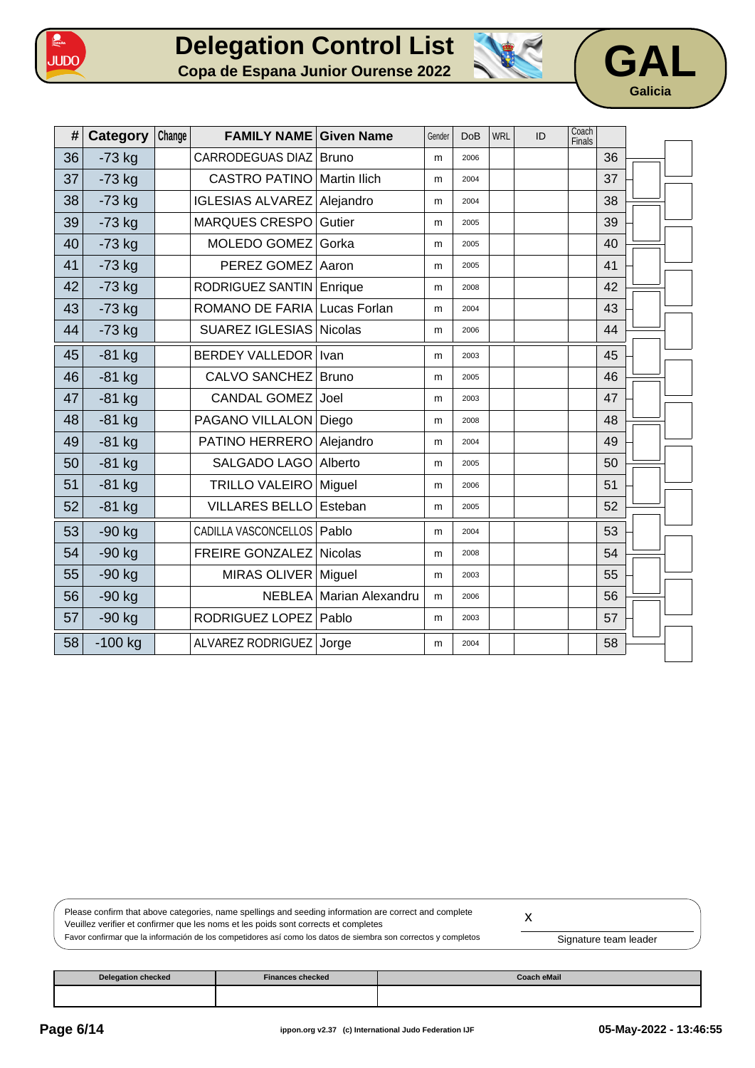





| #  | Category  | Change | <b>FAMILY NAME Given Name</b> |                     | Gender | <b>DoB</b> | <b>WRL</b> | ID | Coach<br>Finals |    |  |
|----|-----------|--------|-------------------------------|---------------------|--------|------------|------------|----|-----------------|----|--|
| 36 | $-73$ kg  |        | <b>CARRODEGUAS DIAZ</b>       | <b>Bruno</b>        | m      | 2006       |            |    |                 | 36 |  |
| 37 | $-73$ kg  |        | <b>CASTRO PATINO</b>          | <b>Martin Ilich</b> | m      | 2004       |            |    |                 | 37 |  |
| 38 | $-73$ kg  |        | <b>IGLESIAS ALVAREZ</b>       | Alejandro           | m      | 2004       |            |    |                 | 38 |  |
| 39 | $-73$ kg  |        | <b>MARQUES CRESPO</b>         | Gutier              | m      | 2005       |            |    |                 | 39 |  |
| 40 | $-73$ kg  |        | MOLEDO GOMEZ                  | Gorka               | m      | 2005       |            |    |                 | 40 |  |
| 41 | $-73$ kg  |        | PEREZ GOMEZ                   | Aaron               | m      | 2005       |            |    |                 | 41 |  |
| 42 | $-73$ kg  |        | RODRIGUEZ SANTIN              | Enrique             | m      | 2008       |            |    |                 | 42 |  |
| 43 | $-73$ kg  |        | ROMANO DE FARIA               | Lucas Forlan        | m      | 2004       |            |    |                 | 43 |  |
| 44 | $-73$ kg  |        | <b>SUAREZ IGLESIAS</b>        | <b>Nicolas</b>      | m      | 2006       |            |    |                 | 44 |  |
| 45 | $-81$ kg  |        | <b>BERDEY VALLEDOR</b>        | Ivan                | m      | 2003       |            |    |                 | 45 |  |
| 46 | $-81$ kg  |        | <b>CALVO SANCHEZ</b>          | <b>Bruno</b>        | m      | 2005       |            |    |                 | 46 |  |
| 47 | $-81$ kg  |        | <b>CANDAL GOMEZ</b>           | Joel                | m      | 2003       |            |    |                 | 47 |  |
| 48 | $-81$ kg  |        | PAGANO VILLALON               | Diego               | m      | 2008       |            |    |                 | 48 |  |
| 49 | $-81$ kg  |        | PATINO HERRERO                | Alejandro           | m      | 2004       |            |    |                 | 49 |  |
| 50 | $-81$ kg  |        | SALGADO LAGO                  | Alberto             | m      | 2005       |            |    |                 | 50 |  |
| 51 | $-81$ kg  |        | <b>TRILLO VALEIRO</b>         | Miguel              | m      | 2006       |            |    |                 | 51 |  |
| 52 | $-81$ kg  |        | <b>VILLARES BELLO</b>         | Esteban             | m      | 2005       |            |    |                 | 52 |  |
| 53 | $-90$ kg  |        | CADILLA VASCONCELLOS          | Pablo               | m      | 2004       |            |    |                 | 53 |  |
| 54 | $-90$ kg  |        | <b>FREIRE GONZALEZ</b>        | <b>Nicolas</b>      | m      | 2008       |            |    |                 | 54 |  |
| 55 | $-90$ kg  |        | <b>MIRAS OLIVER</b>           | Miguel              | m      | 2003       |            |    |                 | 55 |  |
| 56 | $-90$ kg  |        | <b>NEBLEA</b>                 | Marian Alexandru    | m      | 2006       |            |    |                 | 56 |  |
| 57 | $-90$ kg  |        | RODRIGUEZ LOPEZ               | Pablo               | m      | 2003       |            |    |                 | 57 |  |
| 58 | $-100$ kg |        | ALVAREZ RODRIGUEZ             | Jorge               | m      | 2004       |            |    |                 | 58 |  |

| Please confirm that above categories, name spellings and seeding information are correct and complete          |                       |  |
|----------------------------------------------------------------------------------------------------------------|-----------------------|--|
| Veuillez verifier et confirmer que les noms et les poids sont corrects et completes                            |                       |  |
| Favor confirmar que la información de los competidores así como los datos de siembra son correctos y completos | Signature team leader |  |

| <b>Delegation checked</b> | <b>Finances checked</b> | Coach eMail |
|---------------------------|-------------------------|-------------|
|                           |                         |             |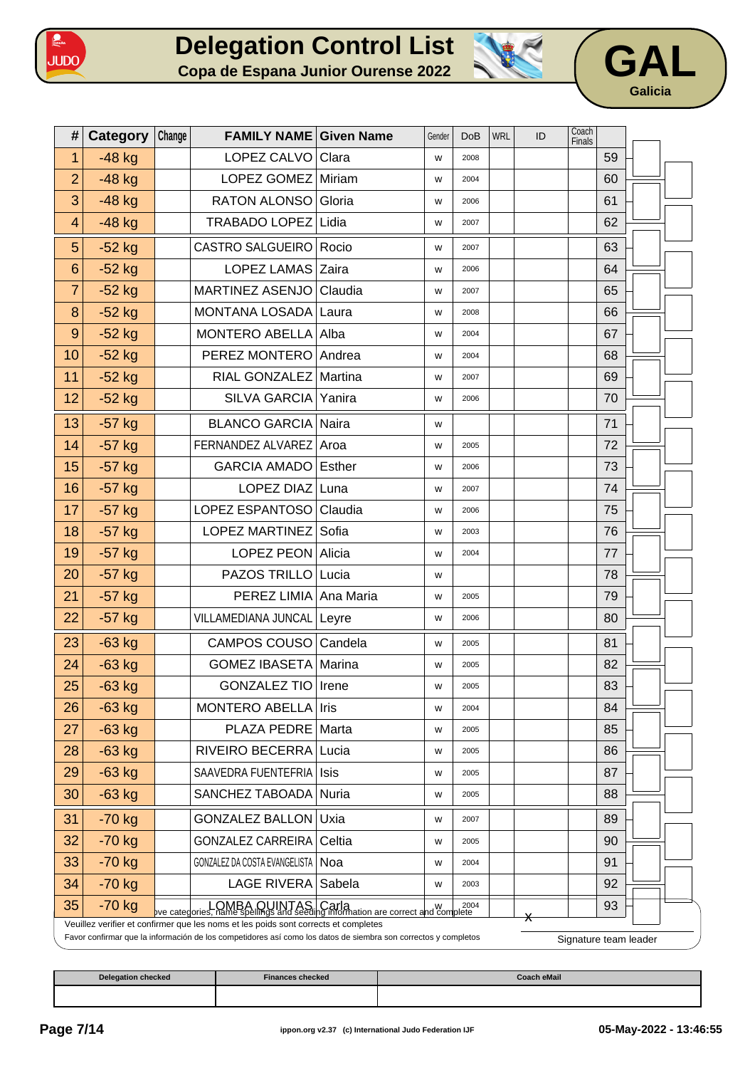





| #                | Category | Change | <b>FAMILY NAME Given Name</b>                                                                                                                                                                         |         | Gender | <b>DoB</b> | <b>WRL</b> | ID             | Coach<br>Finals       |    |  |
|------------------|----------|--------|-------------------------------------------------------------------------------------------------------------------------------------------------------------------------------------------------------|---------|--------|------------|------------|----------------|-----------------------|----|--|
| $\mathbf{1}$     | $-48$ kg |        | LOPEZ CALVO Clara                                                                                                                                                                                     |         | W      | 2008       |            |                |                       | 59 |  |
| $\overline{2}$   | $-48$ kg |        | LOPEZ GOMEZ Miriam                                                                                                                                                                                    |         | W      | 2004       |            |                |                       | 60 |  |
| 3                | $-48$ kg |        | RATON ALONSO Gloria                                                                                                                                                                                   |         | W      | 2006       |            |                |                       | 61 |  |
| $\overline{4}$   | $-48$ kg |        | TRABADO LOPEZ Lidia                                                                                                                                                                                   |         | W      | 2007       |            |                |                       | 62 |  |
| 5                | $-52$ kg |        | CASTRO SALGUEIRO                                                                                                                                                                                      | Rocio   | W      | 2007       |            |                |                       | 63 |  |
| 6                | $-52$ kg |        | LOPEZ LAMAS Zaira                                                                                                                                                                                     |         | W      | 2006       |            |                |                       | 64 |  |
| $\overline{7}$   | $-52$ kg |        | <b>MARTINEZ ASENJO</b>                                                                                                                                                                                | Claudia | W      | 2007       |            |                |                       | 65 |  |
| 8                | $-52$ kg |        | MONTANA LOSADA Laura                                                                                                                                                                                  |         | W      | 2008       |            |                |                       | 66 |  |
| $\boldsymbol{9}$ | $-52$ kg |        | MONTERO ABELLA Alba                                                                                                                                                                                   |         | W      | 2004       |            |                |                       | 67 |  |
| 10               | $-52$ kg |        | PEREZ MONTERO                                                                                                                                                                                         | Andrea  | W      | 2004       |            |                |                       | 68 |  |
| 11               | $-52$ kg |        | RIAL GONZALEZ   Martina                                                                                                                                                                               |         | W      | 2007       |            |                |                       | 69 |  |
| 12               | $-52$ kg |        | SILVA GARCIA                                                                                                                                                                                          | Yanira  | W      | 2006       |            |                |                       | 70 |  |
| 13               | $-57$ kg |        | <b>BLANCO GARCIA Naira</b>                                                                                                                                                                            |         | W      |            |            |                |                       | 71 |  |
| 14               | $-57$ kg |        | FERNANDEZ ALVAREZ Aroa                                                                                                                                                                                |         | W      | 2005       |            |                |                       | 72 |  |
| 15               | $-57$ kg |        | GARCIA AMADO Esther                                                                                                                                                                                   |         | W      | 2006       |            |                |                       | 73 |  |
| 16               | $-57$ kg |        | LOPEZ DIAZ Luna                                                                                                                                                                                       |         | W      | 2007       |            |                |                       | 74 |  |
| 17               | $-57$ kg |        | LOPEZ ESPANTOSO   Claudia                                                                                                                                                                             |         | W      | 2006       |            |                |                       | 75 |  |
| 18               | $-57$ kg |        | LOPEZ MARTINEZ Sofia                                                                                                                                                                                  |         | W      | 2003       |            |                |                       | 76 |  |
| 19               | $-57$ kg |        | LOPEZ PEON Alicia                                                                                                                                                                                     |         | W      | 2004       |            |                |                       | 77 |  |
| 20               | $-57$ kg |        | PAZOS TRILLO Lucia                                                                                                                                                                                    |         | W      |            |            |                |                       | 78 |  |
| 21               | $-57$ kg |        | PEREZ LIMIA Ana Maria                                                                                                                                                                                 |         | W      | 2005       |            |                |                       | 79 |  |
| 22               | $-57$ kg |        | VILLAMEDIANA JUNCAL   Leyre                                                                                                                                                                           |         | W      | 2006       |            |                |                       | 80 |  |
| 23               | $-63$ kg |        | CAMPOS COUSO Candela                                                                                                                                                                                  |         | W      | 2005       |            |                |                       | 81 |  |
| 24               | $-63$ kg |        | <b>GOMEZ IBASETA Marina</b>                                                                                                                                                                           |         | W      | 2005       |            |                |                       | 82 |  |
| 25               | $-63$ kg |        | <b>GONZALEZ TIO</b>                                                                                                                                                                                   | Irene   | W      | 2005       |            |                |                       | 83 |  |
| 26               | $-63$ kg |        | MONTERO ABELLA                                                                                                                                                                                        | Iris    | W      | 2004       |            |                |                       | 84 |  |
| 27               | $-63$ kg |        | PLAZA PEDRE                                                                                                                                                                                           | Marta   | W      | 2005       |            |                |                       | 85 |  |
| 28               | $-63$ kg |        | RIVEIRO BECERRA Lucia                                                                                                                                                                                 |         | W      | 2005       |            |                |                       | 86 |  |
| 29               | $-63$ kg |        | SAAVEDRA FUENTEFRIA                                                                                                                                                                                   | Isis    | W      | 2005       |            |                |                       | 87 |  |
| 30               | $-63$ kg |        | SANCHEZ TABOADA                                                                                                                                                                                       | Nuria   | W      | 2005       |            |                |                       | 88 |  |
| 31               | $-70$ kg |        | <b>GONZALEZ BALLON Uxia</b>                                                                                                                                                                           |         | W      | 2007       |            |                |                       | 89 |  |
| 32               | $-70$ kg |        | <b>GONZALEZ CARREIRA</b>                                                                                                                                                                              | Celtia  | W      | 2005       |            |                |                       | 90 |  |
| 33               | $-70$ kg |        | GONZALEZ DA COSTA EVANGELISTA   NOa                                                                                                                                                                   |         | W      | 2004       |            |                |                       | 91 |  |
| 34               | $-70$ kg |        | <b>LAGE RIVERA</b>                                                                                                                                                                                    | Sabela  | W      | 2003       |            |                |                       | 92 |  |
| 35               | $-70$ kg |        | ve categories, name spellings and seeding information are correct and complete                                                                                                                        |         |        | 2004       |            |                |                       | 93 |  |
|                  |          |        | Veuillez verifier et confirmer que les noms et les poids sont corrects et completes<br>Favor confirmar que la información de los competidores así como los datos de siembra son correctos y completos |         |        |            |            | $\pmb{\times}$ |                       |    |  |
|                  |          |        |                                                                                                                                                                                                       |         |        |            |            |                | Signature team leader |    |  |

| <b>Delegation checked</b> | <b>Finances checked</b> | Coach eMail |
|---------------------------|-------------------------|-------------|
|                           |                         |             |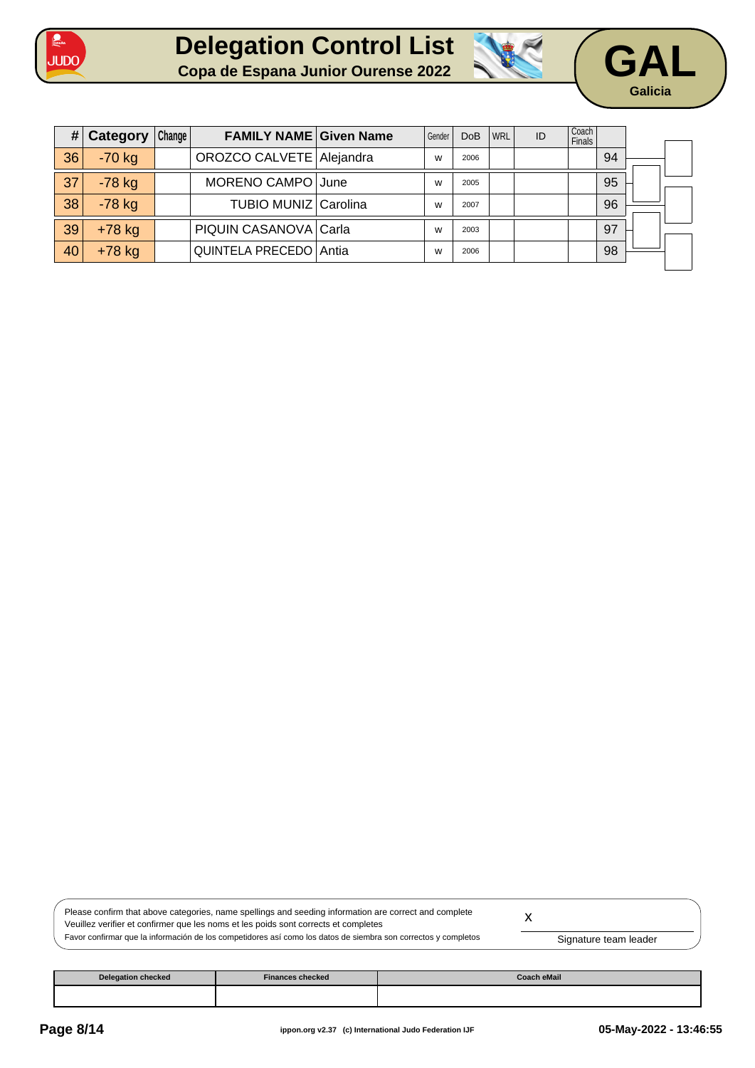







| #  | Category | Change | <b>FAMILY NAME Given Name</b> | Gender | <b>DoB</b> | <b>WRL</b> | ID | Coach<br><b>Finals</b> |    |  |
|----|----------|--------|-------------------------------|--------|------------|------------|----|------------------------|----|--|
| 36 | $-70$ kg |        | OROZCO CALVETE   Alejandra    | w      | 2006       |            |    |                        | 94 |  |
| 37 | $-78$ kg |        | MORENO CAMPO June             | W      | 2005       |            |    |                        | 95 |  |
| 38 | $-78$ kg |        | TUBIO MUNIZ Carolina          | W      | 2007       |            |    |                        | 96 |  |
| 39 | $+78$ kg |        | PIQUIN CASANOVA Carla         | W      | 2003       |            |    |                        | 97 |  |
| 40 | $+78$ kg |        | QUINTELA PRECEDO Antia        | W      | 2006       |            |    |                        | 98 |  |

| Please confirm that above categories, name spellings and seeding information are correct and complete          |                       |  |
|----------------------------------------------------------------------------------------------------------------|-----------------------|--|
| Veuillez verifier et confirmer que les noms et les poids sont corrects et completes                            |                       |  |
| Favor confirmar que la información de los competidores así como los datos de siembra son correctos y completos | Signature team leader |  |

| <b>Delegation checked</b> | <b>Finances checked</b> | <b>Coach eMail</b> |
|---------------------------|-------------------------|--------------------|
|                           |                         |                    |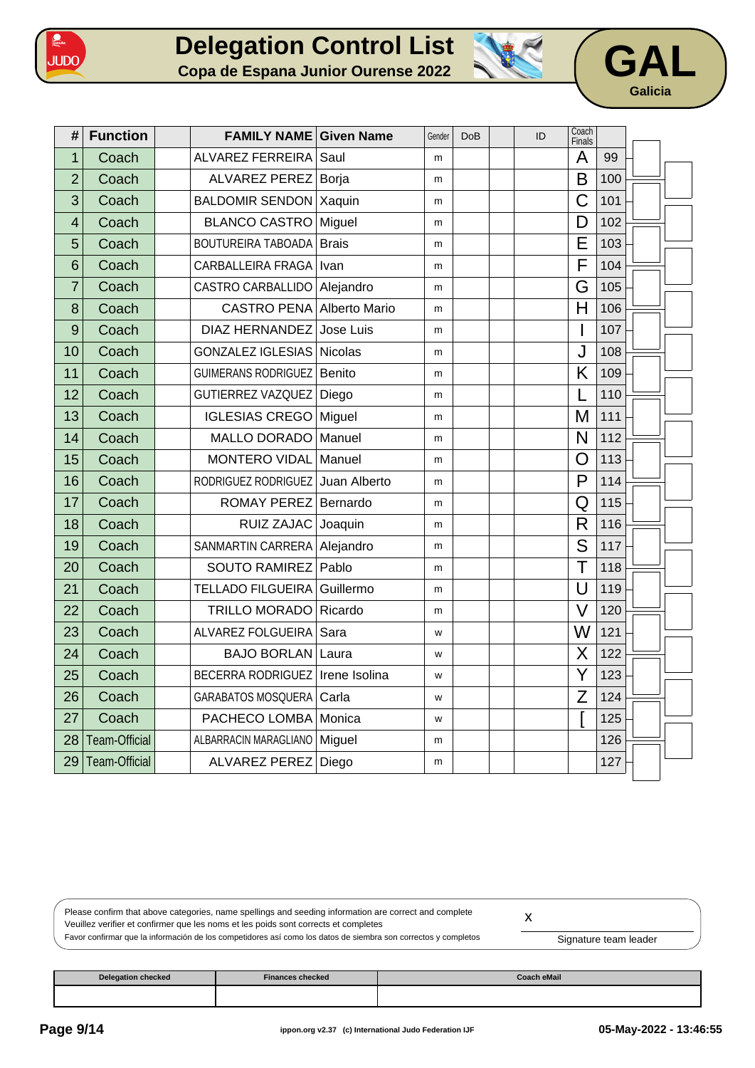





| #              | <b>Function</b>      | <b>FAMILY NAME Given Name</b>    |               | Gender | <b>DoB</b> | ID | Coach<br>Finals         |     |  |
|----------------|----------------------|----------------------------------|---------------|--------|------------|----|-------------------------|-----|--|
| 1              | Coach                | <b>ALVAREZ FERREIRA</b>          | Saul          | m      |            |    | A                       | 99  |  |
| $\overline{2}$ | Coach                | <b>ALVAREZ PEREZ</b>             | Borja         | m      |            |    | B                       | 100 |  |
| 3              | Coach                | <b>BALDOMIR SENDON</b>           | Xaquin        | m      |            |    | C                       | 101 |  |
| 4              | Coach                | <b>BLANCO CASTRO</b>             | Miguel        | m      |            |    | D                       | 102 |  |
| 5              | Coach                | <b>BOUTUREIRA TABOADA</b>        | <b>Brais</b>  | m      |            |    | E                       | 103 |  |
| 6              | Coach                | <b>CARBALLEIRA FRAGA</b>         | Ivan          | m      |            |    | $\overline{\mathsf{F}}$ | 104 |  |
| 7              | Coach                | CASTRO CARBALLIDO                | Alejandro     | m      |            |    | G                       | 105 |  |
| 8              | Coach                | <b>CASTRO PENA Alberto Mario</b> |               | m      |            |    | $\overline{H}$          | 106 |  |
| 9              | Coach                | <b>DIAZ HERNANDEZ</b>            | Jose Luis     | m      |            |    | I                       | 107 |  |
| 10             | Coach                | <b>GONZALEZ IGLESIAS</b>         | Nicolas       | m      |            |    | J                       | 108 |  |
| 11             | Coach                | <b>GUIMERANS RODRIGUEZ</b>       | Benito        | m      |            |    | K                       | 109 |  |
| 12             | Coach                | GUTIERREZ VAZQUEZ                | Diego         | m      |            |    |                         | 110 |  |
| 13             | Coach                | <b>IGLESIAS CREGO</b>            | Miguel        | m      |            |    | M                       | 111 |  |
| 14             | Coach                | <b>MALLO DORADO</b>              | Manuel        | m      |            |    | N                       | 112 |  |
| 15             | Coach                | <b>MONTERO VIDAL</b>             | Manuel        | m      |            |    | O                       | 113 |  |
| 16             | Coach                | RODRIGUEZ RODRIGUEZ              | Juan Alberto  | m      |            |    | P                       | 114 |  |
| 17             | Coach                | ROMAY PEREZ Bernardo             |               | m      |            |    | Q                       | 115 |  |
| 18             | Coach                | <b>RUIZ ZAJAC</b>                | Joaquin       | m      |            |    | R                       | 116 |  |
| 19             | Coach                | SANMARTIN CARRERA                | Alejandro     | m      |            |    | S                       | 117 |  |
| 20             | Coach                | <b>SOUTO RAMIREZ</b>             | Pablo         | m      |            |    | Τ                       | 118 |  |
| 21             | Coach                | <b>TELLADO FILGUEIRA</b>         | Guillermo     | m      |            |    | $\bigcup$               | 119 |  |
| 22             | Coach                | <b>TRILLO MORADO</b>             | Ricardo       | m      |            |    | $\vee$                  | 120 |  |
| 23             | Coach                | ALVAREZ FOLGUEIRA                | Sara          | W      |            |    | W                       | 121 |  |
| 24             | Coach                | <b>BAJO BORLAN</b>               | Laura         | W      |            |    | X                       | 122 |  |
| 25             | Coach                | <b>BECERRA RODRIGUEZ</b>         | Irene Isolina | W      |            |    | Y                       | 123 |  |
| 26             | Coach                | <b>GARABATOS MOSQUERA</b>        | Carla         | W      |            |    | Z                       | 124 |  |
| 27             | Coach                | PACHECO LOMBA                    | Monica        | W      |            |    |                         | 125 |  |
| 28             | <b>Team-Official</b> | ALBARRACIN MARAGLIANO            | Miguel        | m      |            |    |                         | 126 |  |
| 29             | <b>Team-Official</b> | <b>ALVAREZ PEREZ</b>             | Diego         | m      |            |    |                         | 127 |  |

Please confirm that above categories, name spellings and seeding information are correct and complete Veuillez verifier et confirmer que les noms et les poids sont corrects et completes Favor confirmar que la información de los competidores así como los datos de siembra son correctos y completos x Signature team leader

| Delegation checked | <b>Finances checked</b> | Coach eMail |
|--------------------|-------------------------|-------------|
|                    |                         |             |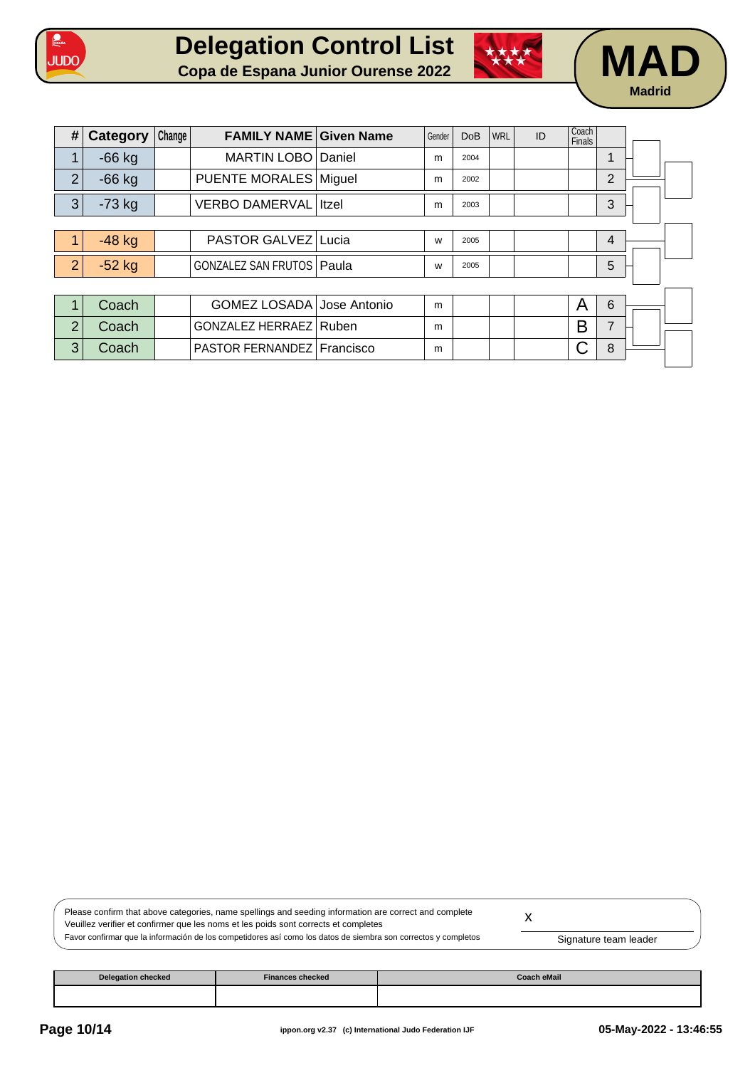





| #              | <b>Category</b> | Change | <b>FAMILY NAME Given Name</b>      |               | Gender | <b>DoB</b> | <b>WRL</b> | ID | Coach<br>Finals |                |  |
|----------------|-----------------|--------|------------------------------------|---------------|--------|------------|------------|----|-----------------|----------------|--|
| 1              | $-66$ kg        |        | <b>MARTIN LOBO</b>                 | <i>Daniel</i> | m      | 2004       |            |    |                 | 1              |  |
| $\overline{2}$ | $-66$ kg        |        | PUENTE MORALES   Miguel            |               | m      | 2002       |            |    |                 | $\overline{2}$ |  |
| 3              | $-73$ kg        |        | <b>VERBO DAMERVAL Itzel</b>        |               | m      | 2003       |            |    |                 | 3              |  |
|                |                 |        |                                    |               |        |            |            |    |                 |                |  |
| 1              | $-48$ kg        |        | PASTOR GALVEZ Lucia                |               | W      | 2005       |            |    |                 | $\overline{4}$ |  |
| $\overline{2}$ | $-52$ kg        |        | <b>GONZALEZ SAN FRUTOS   Paula</b> |               | W      | 2005       |            |    |                 | 5              |  |
|                |                 |        |                                    |               |        |            |            |    |                 |                |  |
| 1              | Coach           |        | GOMEZ LOSADA Jose Antonio          |               | m      |            |            |    | Α               | 6              |  |
| $\overline{2}$ | Coach           |        | GONZALEZ HERRAEZ   Ruben           |               | m      |            |            |    | B               | $\overline{7}$ |  |
| 3              | Coach           |        | PASTOR FERNANDEZ Francisco         |               | m      |            |            |    |                 | 8              |  |
|                |                 |        |                                    |               |        |            |            |    |                 |                |  |

Please confirm that above categories, name spellings and seeding information are correct and complete Veuillez verifier et confirmer que les noms et les poids sont corrects et completes Favor confirmar que la información de los competidores así como los datos de siembra son correctos y completos x Signature team leader

| <b>Delegation checked</b> | <b>Finances checked</b> | Coach eMail |
|---------------------------|-------------------------|-------------|
|                           |                         |             |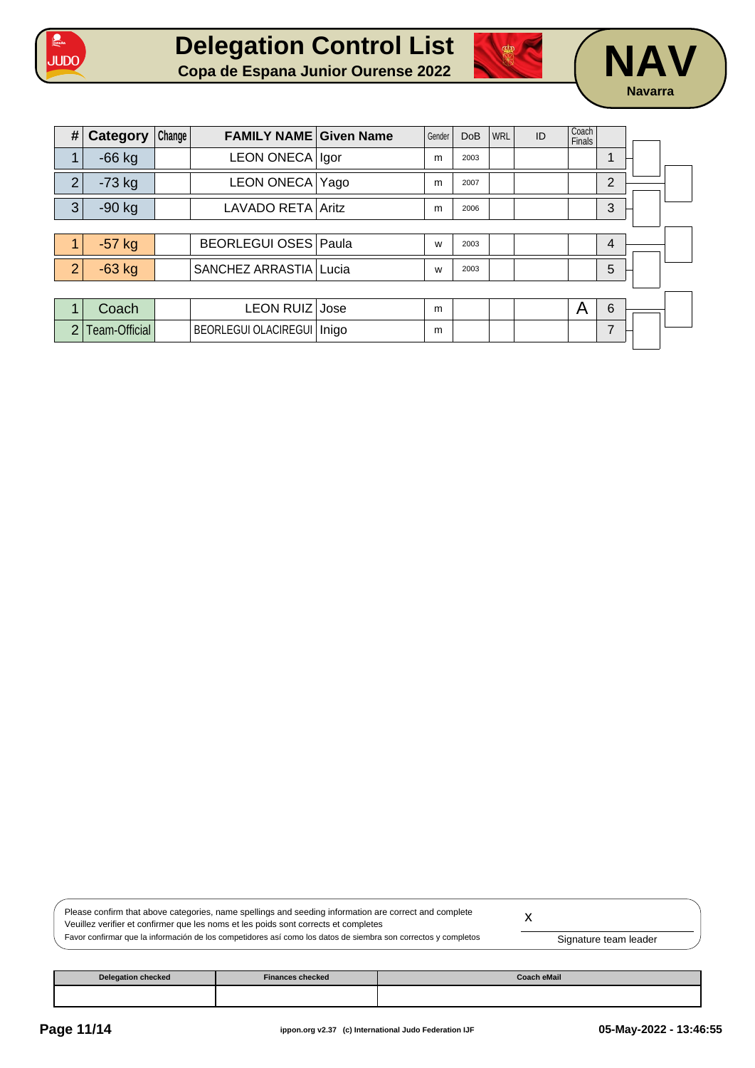





| #              | <b>Category</b> | Change | <b>FAMILY NAME Given Name</b> | Gender | <b>DoB</b> | WRL | ID | Coach<br>Finals |                |  |
|----------------|-----------------|--------|-------------------------------|--------|------------|-----|----|-----------------|----------------|--|
| 1              | $-66$ kg        |        | LEON ONECA   Igor             | m      | 2003       |     |    |                 |                |  |
| $\overline{2}$ | $-73$ kg        |        | LEON ONECA Yago               | m      | 2007       |     |    |                 | $\overline{2}$ |  |
| 3              | $-90$ kg        |        | LAVADO RETA Aritz             | m      | 2006       |     |    |                 | 3              |  |
|                |                 |        |                               |        |            |     |    |                 |                |  |
|                | $-57$ kg        |        | <b>BEORLEGUI OSES Paula</b>   | W      | 2003       |     |    |                 | 4              |  |
| $\overline{2}$ | $-63$ kg        |        | SANCHEZ ARRASTIA Lucia        | W      | 2003       |     |    |                 | 5              |  |
|                |                 |        |                               |        |            |     |    |                 |                |  |
| 1              | Coach           |        | LEON RUIZ Jose                | m      |            |     |    | A               | 6              |  |
| $\overline{2}$ | Team-Official   |        | BEORLEGUI OLACIREGUI   Inigo  | m      |            |     |    |                 | 7              |  |

| Please confirm that above categories, name spellings and seeding information are correct and complete          |                       |  |
|----------------------------------------------------------------------------------------------------------------|-----------------------|--|
| Veuillez verifier et confirmer que les noms et les poids sont corrects et completes                            |                       |  |
| Favor confirmar que la información de los competidores así como los datos de siembra son correctos y completos | Signature team leader |  |

| <b>Delegation checked</b> | <b>Finances checked</b> | <b>Coach eMail</b> |
|---------------------------|-------------------------|--------------------|
|                           |                         |                    |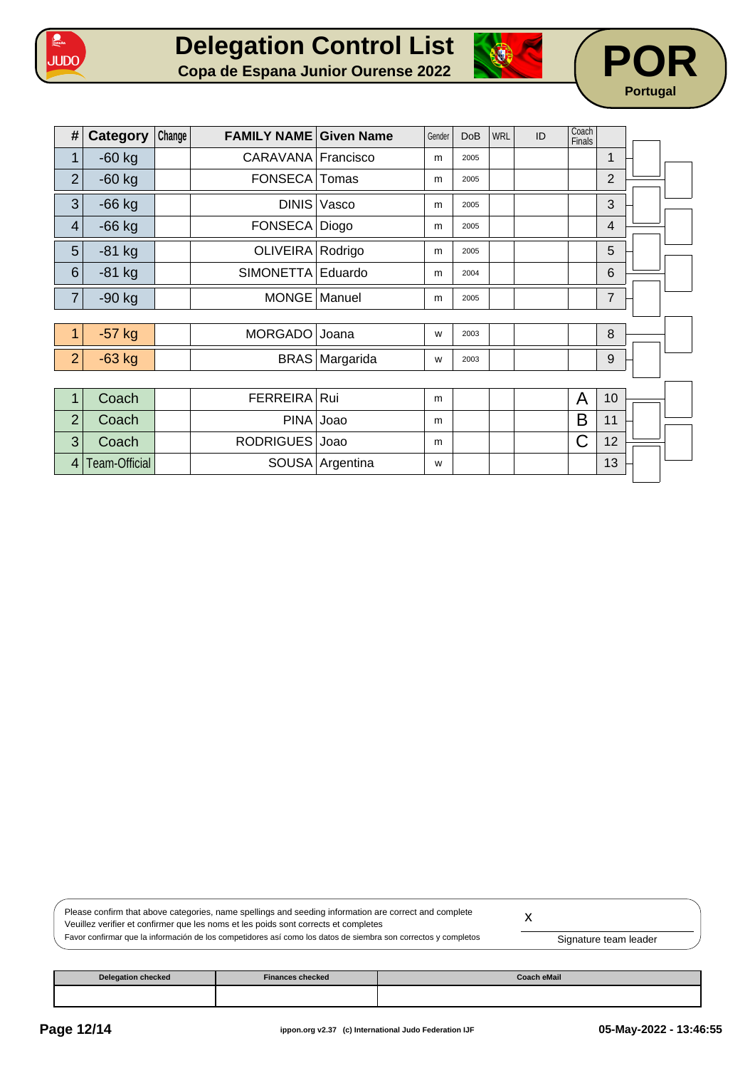





| #                        | Category      | Change | <b>FAMILY NAME Given Name</b> |                 | Gender | <b>DoB</b> | WRL | ID | Coach<br>Finals |                |  |  |
|--------------------------|---------------|--------|-------------------------------|-----------------|--------|------------|-----|----|-----------------|----------------|--|--|
| $\mathbf 1$              | $-60$ kg      |        | CARAVANA Francisco            |                 | m      | 2005       |     |    |                 | 1              |  |  |
| $\overline{2}$           | $-60$ kg      |        | FONSECA Tomas                 |                 | m      | 2005       |     |    |                 | $\overline{2}$ |  |  |
| 3                        | $-66$ kg      |        | <b>DINIS</b>                  | Vasco           | m      | 2005       |     |    |                 | 3              |  |  |
| $\overline{\mathcal{A}}$ | $-66$ kg      |        | FONSECA Diogo                 |                 | m      | 2005       |     |    |                 | 4              |  |  |
| 5                        | $-81$ kg      |        | OLIVEIRA Rodrigo              |                 | m      | 2005       |     |    |                 | 5              |  |  |
| $6\phantom{1}$           | $-81$ kg      |        | SIMONETTA Eduardo             |                 | m      | 2004       |     |    |                 | 6              |  |  |
| $\overline{7}$           | $-90$ kg      |        | MONGE Manuel                  |                 | m      | 2005       |     |    |                 | $\overline{7}$ |  |  |
|                          |               |        |                               |                 |        |            |     |    |                 |                |  |  |
| 1                        | $-57$ kg      |        | MORGADO                       | Joana           | W      | 2003       |     |    |                 | 8              |  |  |
| $\overline{2}$           | $-63$ kg      |        |                               | BRAS Margarida  | W      | 2003       |     |    |                 | 9              |  |  |
|                          |               |        |                               |                 |        |            |     |    |                 |                |  |  |
| $\mathbf 1$              | Coach         |        | FERREIRA Rui                  |                 | m      |            |     |    | A               | 10             |  |  |
| $\overline{2}$           | Coach         |        | PINA Joao                     |                 | m      |            |     |    | B               | 11             |  |  |
| 3                        | Coach         |        | RODRIGUES Joao                |                 | m      |            |     |    | C               | 12             |  |  |
| 4                        | Team-Official |        |                               | SOUSA Argentina | W      |            |     |    |                 | 13             |  |  |
|                          |               |        |                               |                 |        |            |     |    |                 |                |  |  |

| Please confirm that above categories, name spellings and seeding information are correct and complete<br>Veuillez verifier et confirmer que les noms et les poids sont corrects et completes |                       |  |
|----------------------------------------------------------------------------------------------------------------------------------------------------------------------------------------------|-----------------------|--|
| Favor confirmar que la información de los competidores así como los datos de siembra son correctos y completos                                                                               | Signature team leader |  |

| <b>Delegation checked</b> | Finances checked | <b>Coach eMail</b> |
|---------------------------|------------------|--------------------|
|                           |                  |                    |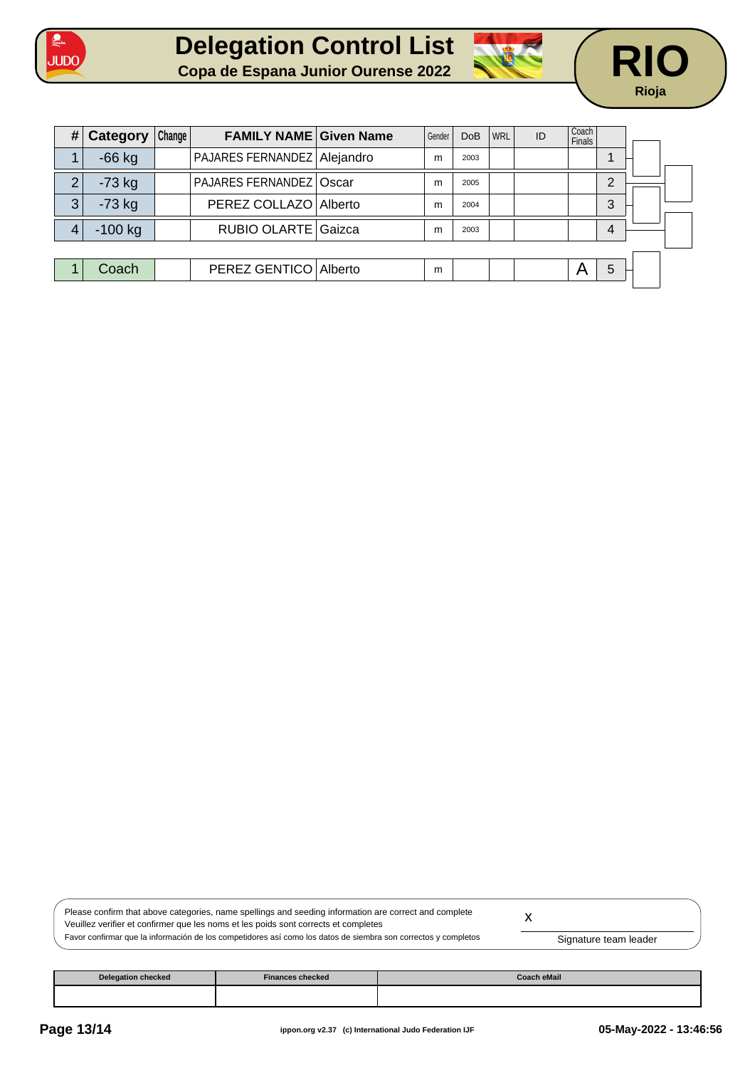





| #              | Category  | Change | <b>FAMILY NAME Given Name</b>  | Gender | <b>DoB</b> | <b>WRL</b> | ID | Coach<br><b>Finals</b> |   |  |
|----------------|-----------|--------|--------------------------------|--------|------------|------------|----|------------------------|---|--|
|                | $-66$ kg  |        | PAJARES FERNANDEZ Alejandro    | m      | 2003       |            |    |                        |   |  |
| $\overline{2}$ | $-73$ kg  |        | <b>PAJARES FERNANDEZ Oscar</b> | m      | 2005       |            |    |                        | ⌒ |  |
| 3              | $-73$ kg  |        | PEREZ COLLAZO   Alberto        | m      | 2004       |            |    |                        | 3 |  |
| 4              | $-100$ kg |        | RUBIO OLARTE Gaizca            | m      | 2003       |            |    |                        | 4 |  |
|                |           |        |                                |        |            |            |    |                        |   |  |
|                | Coach     |        | PEREZ GENTICO   Alberto        | m      |            |            |    | A                      | 5 |  |
|                |           |        |                                |        |            |            |    |                        |   |  |

| Please confirm that above categories, name spellings and seeding information are correct and complete          |                       |  |
|----------------------------------------------------------------------------------------------------------------|-----------------------|--|
| Veuillez verifier et confirmer que les noms et les poids sont corrects et completes                            |                       |  |
| Favor confirmar que la información de los competidores así como los datos de siembra son correctos y completos | Signature team leader |  |

| <b>Delegation checked</b> | <b>Finances checked</b> | <b>Coach eMail</b> |
|---------------------------|-------------------------|--------------------|
|                           |                         |                    |